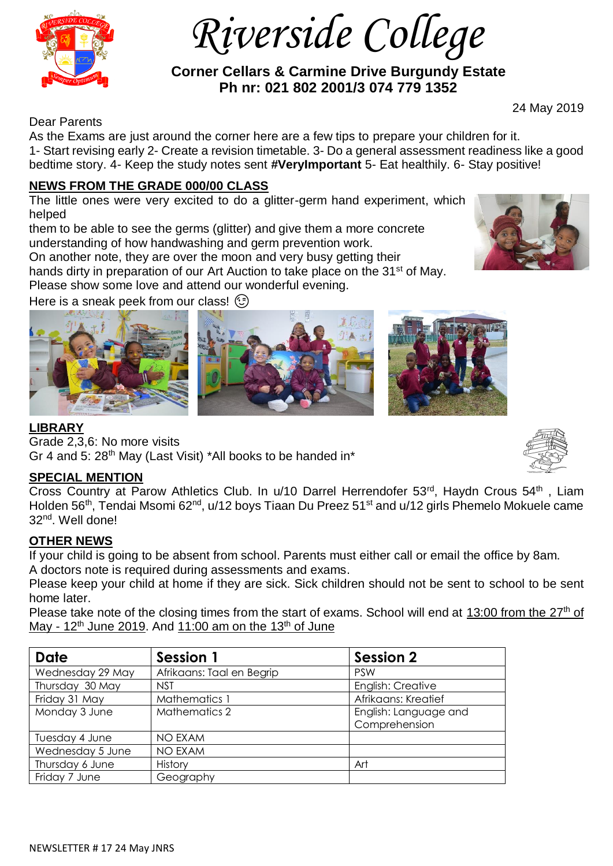

 *Riverside College*

 **Corner Cellars & Carmine Drive Burgundy Estate Ph nr: 021 802 2001/3 074 779 1352**

Dear Parents

24 May 2019

As the Exams are just around the corner here are a few tips to prepare your children for it. 1- Start revising early 2- Create a revision timetable. 3- Do a general assessment readiness like a good bedtime story. 4- Keep the study notes sent **#VeryImportant** 5- Eat healthily. 6- Stay positive!

### **NEWS FROM THE GRADE 000/00 CLASS**

The little ones were very excited to do a glitter-germ hand experiment, which helped

them to be able to see the germs (glitter) and give them a more concrete understanding of how handwashing and germ prevention work.

On another note, they are over the moon and very busy getting their hands dirty in preparation of our Art Auction to take place on the 31<sup>st</sup> of May.

Please show some love and attend our wonderful evening.

Here is a sneak peek from our class!  $\odot$ 



### **LIBRARY**

Grade 2,3,6: No more visits Gr 4 and 5:  $28<sup>th</sup>$  May (Last Visit) \*All books to be handed in\*

## **SPECIAL MENTION**

Cross Country at Parow Athletics Club. In u/10 Darrel Herrendofer 53<sup>rd</sup>, Haydn Crous 54<sup>th</sup>, Liam Holden 56<sup>th</sup>, Tendai Msomi 62<sup>nd</sup>, u/12 boys Tiaan Du Preez 51<sup>st</sup> and u/12 girls Phemelo Mokuele came 32nd. Well done!

## **OTHER NEWS**

If your child is going to be absent from school. Parents must either call or email the office by 8am. A doctors note is required during assessments and exams.

Please keep your child at home if they are sick. Sick children should not be sent to school to be sent home later.

Please take note of the closing times from the start of exams. School will end at  $13:00$  from the  $27<sup>th</sup>$  of May -  $12<sup>th</sup>$  June 2019. And 11:00 am on the 13<sup>th</sup> of June

| <b>Date</b>      | Session 1                 | <b>Session 2</b>      |
|------------------|---------------------------|-----------------------|
| Wednesday 29 May | Afrikaans: Taal en Begrip | <b>PSW</b>            |
| Thursday 30 May  | <b>NST</b>                | English: Creative     |
| Friday 31 May    | Mathematics 1             | Afrikaans: Kreatief   |
| Monday 3 June    | Mathematics 2             | English: Language and |
|                  |                           | Comprehension         |
| Tuesday 4 June   | <b>NO EXAM</b>            |                       |
| Wednesday 5 June | <b>NO EXAM</b>            |                       |
| Thursday 6 June  | History                   | Art                   |
| Friday 7 June    | Geography                 |                       |



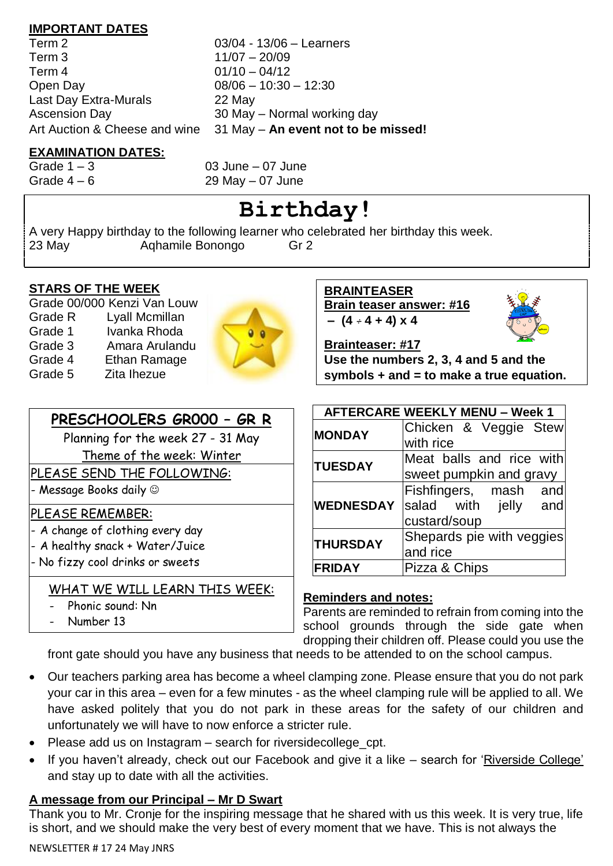### **IMPORTANT DATES**

Term 2 03/04 - 13/06 – Learners Term 3 11/07 – 20/09 Term 4 01/10 – 04/12 Open Day 08/06 – 10:30 – 12:30 Last Day Extra-Murals 22 May Ascension Day 30 May – Normal working day

Art Auction & Cheese and wine 31 May – **An event not to be missed!**

# **EXAMINATION DATES:**

Grade  $1 - 3$  03 June – 07 June Grade  $4-6$  29 May  $-07$  June

# **Birthday!**

A very Happy birthday to the following learner who celebrated her birthday this week. 23 May Aqhamile Bonongo Gr 2

## **STARS OF THE WEEK**

Grade 00/000 Kenzi Van Louw Grade R Lyall Mcmillan Grade 1 Ivanka Rhoda Grade 3 Amara Arulandu Grade 4 Ethan Ramage Grade 5 Zita Ihezue



# **PRESCHOOLERS GR000 – GR R**

Planning for the week 27 - 31 May

Theme of the week: Winter

PLEASE SEND THE FOLLOWING:

- Message Books daily ☺

## PLEASE REMEMBER:

- A change of clothing every day
- A healthy snack + Water/Juice
- No fizzy cool drinks or sweets

# WHAT WE WILL LEARN THIS WEEK:

- Phonic sound: Nn
- Number 13

**BRAINTEASER Brain teaser answer: #16**  $(4 - 4 + 4) \times 4$ 



**Brainteaser: #17**

**Use the numbers 2, 3, 4 and 5 and the symbols + and = to make a true equation.**

| <b>AFTERCARE WEEKLY MENU - Week 1</b> |                           |  |  |
|---------------------------------------|---------------------------|--|--|
| <b>MONDAY</b>                         | Chicken & Veggie Stew     |  |  |
|                                       | with rice                 |  |  |
| <b>TUESDAY</b>                        | Meat balls and rice with  |  |  |
|                                       | sweet pumpkin and gravy   |  |  |
|                                       | Fishfingers, mash and     |  |  |
| <b>WEDNESDAY</b>                      | salad with jelly and      |  |  |
|                                       | custard/soup              |  |  |
| <b>THURSDAY</b>                       | Shepards pie with veggies |  |  |
|                                       | and rice                  |  |  |
| <b>FRIDAY</b>                         | Pizza & Chips             |  |  |

## **Reminders and notes:**

Parents are reminded to refrain from coming into the school grounds through the side gate when dropping their children off. Please could you use the

front gate should you have any business that needs to be attended to on the school campus.

- Our teachers parking area has become a wheel clamping zone. Please ensure that you do not park your car in this area – even for a few minutes - as the wheel clamping rule will be applied to all. We have asked politely that you do not park in these areas for the safety of our children and unfortunately we will have to now enforce a stricter rule.
- Please add us on Instagram search for riversidecollege cpt.
- If you haven't already, check out our Facebook and give it a like search for 'Riverside College' and stay up to date with all the activities.

# **A message from our Principal – Mr D Swart**

Thank you to Mr. Cronje for the inspiring message that he shared with us this week. It is very true, life is short, and we should make the very best of every moment that we have. This is not always the

### NEWSLETTER # 17 24 May JNRS